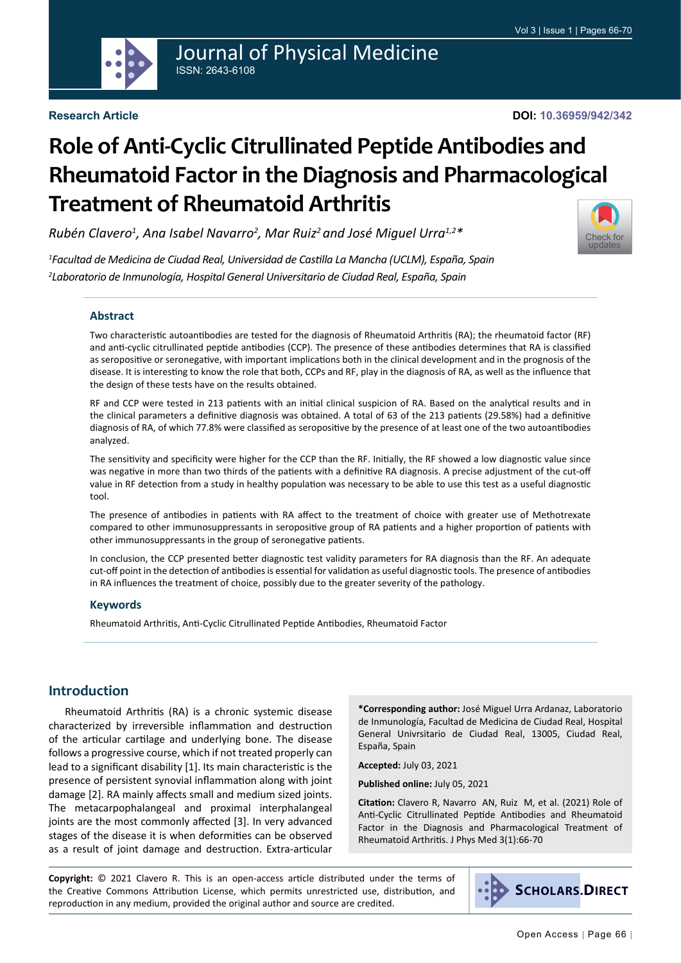

# Journal of Physical Medicine ISSN: 2643-6108

#### **Research Article**

# **Role of Anti-Cyclic Citrullinated Peptide Antibodies and Rheumatoid Factor in the Diagnosis and Pharmacological Treatment of Rheumatoid Arthritis**

*Rubén Clavero1 , Ana Isabel Navarro2 , Mar Ruiz2 and José Miguel Urra1,2\**

*1 Facultad de Medicina de Ciudad Real, Universidad de Castilla La Mancha (UCLM), España, Spain 2 Laboratorio de Inmunología, Hospital General Universitario de Ciudad Real, España, Spain*

#### **Abstract**

Two characteristic autoantibodies are tested for the diagnosis of Rheumatoid Arthritis (RA); the rheumatoid factor (RF) and anti-cyclic citrullinated peptide antibodies (CCP). The presence of these antibodies determines that RA is classified as seropositive or seronegative, with important implications both in the clinical development and in the prognosis of the disease. It is interesting to know the role that both, CCPs and RF, play in the diagnosis of RA, as well as the influence that the design of these tests have on the results obtained.

RF and CCP were tested in 213 patients with an initial clinical suspicion of RA. Based on the analytical results and in the clinical parameters a definitive diagnosis was obtained. A total of 63 of the 213 patients (29.58%) had a definitive diagnosis of RA, of which 77.8% were classified as seropositive by the presence of at least one of the two autoantibodies analyzed.

The sensitivity and specificity were higher for the CCP than the RF. Initially, the RF showed a low diagnostic value since was negative in more than two thirds of the patients with a definitive RA diagnosis. A precise adjustment of the cut-off value in RF detection from a study in healthy population was necessary to be able to use this test as a useful diagnostic tool.

The presence of antibodies in patients with RA affect to the treatment of choice with greater use of Methotrexate compared to other immunosuppressants in seropositive group of RA patients and a higher proportion of patients with other immunosuppressants in the group of seronegative patients.

In conclusion, the CCP presented better diagnostic test validity parameters for RA diagnosis than the RF. An adequate cut-off point in the detection of antibodies is essential for validation as useful diagnostic tools. The presence of antibodies in RA influences the treatment of choice, possibly due to the greater severity of the pathology.

#### **Keywords**

Rheumatoid Arthritis, Anti-Cyclic Citrullinated Peptide Antibodies, Rheumatoid Factor

# **Introduction**

Rheumatoid Arthritis (RA) is a chronic systemic disease characterized by irreversible inflammation and destruction of the articular cartilage and underlying bone. The disease follows a progressive course, which if not treated properly can lead to a significant disability [1]. Its main characteristic is the presence of persistent synovial inflammation along with joint damage [2]. RA mainly affects small and medium sized joints. The metacarpophalangeal and proximal interphalangeal joints are the most commonly affected [3]. In very advanced stages of the disease it is when deformities can be observed as a result of joint damage and destruction. Extra-articular

**\*Corresponding author:** José Miguel Urra Ardanaz, Laboratorio de Inmunología, Facultad de Medicina de Ciudad Real, Hospital General Univrsitario de Ciudad Real, 13005, Ciudad Real, España, Spain

**Accepted:** July 03, 2021

**Published online:** July 05, 2021

**Citation:** Clavero R, Navarro AN, Ruiz M, et al. (2021) Role of Anti-Cyclic Citrullinated Peptide Antibodies and Rheumatoid Factor in the Diagnosis and Pharmacological Treatment of Rheumatoid Arthritis. J Phys Med 3(1):66-70

**Copyright:** © 2021 Clavero R. This is an open-access article distributed under the terms of the Creative Commons Attribution License, which permits unrestricted use, distribution, and reproduction in any medium, provided the original author and source are credited.



[Check for](http://crossmark.crossref.org/dialog/?doi=10.36959/942/342&domain=pdf) updates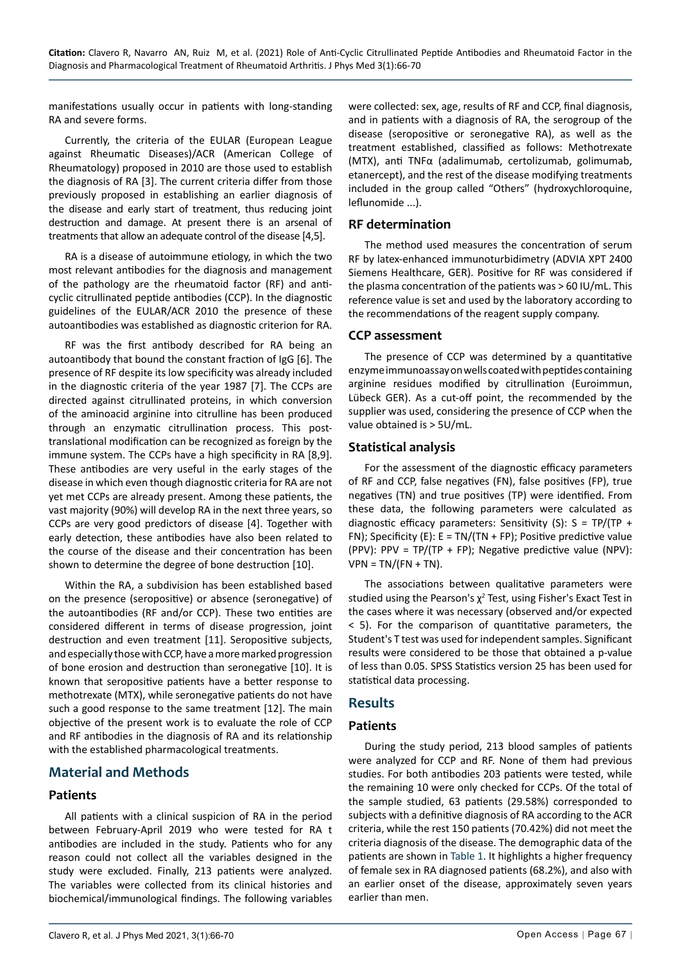manifestations usually occur in patients with long-standing RA and severe forms.

Currently, the criteria of the EULAR (European League against Rheumatic Diseases)/ACR (American College of Rheumatology) proposed in 2010 are those used to establish the diagnosis of RA [3]. The current criteria differ from those previously proposed in establishing an earlier diagnosis of the disease and early start of treatment, thus reducing joint destruction and damage. At present there is an arsenal of treatments that allow an adequate control of the disease [4,5].

RA is a disease of autoimmune etiology, in which the two most relevant antibodies for the diagnosis and management of the pathology are the rheumatoid factor (RF) and anticyclic citrullinated peptide antibodies (CCP). In the diagnostic guidelines of the EULAR/ACR 2010 the presence of these autoantibodies was established as diagnostic criterion for RA.

RF was the first antibody described for RA being an autoantibody that bound the constant fraction of IgG [6]. The presence of RF despite its low specificity was already included in the diagnostic criteria of the year 1987 [7]. The CCPs are directed against citrullinated proteins, in which conversion of the aminoacid arginine into citrulline has been produced through an enzymatic citrullination process. This posttranslational modification can be recognized as foreign by the immune system. The CCPs have a high specificity in RA [8,9]. These antibodies are very useful in the early stages of the disease in which even though diagnostic criteria for RA are not yet met CCPs are already present. Among these patients, the vast majority (90%) will develop RA in the next three years, so CCPs are very good predictors of disease [4]. Together with early detection, these antibodies have also been related to the course of the disease and their concentration has been shown to determine the degree of bone destruction [10].

Within the RA, a subdivision has been established based on the presence (seropositive) or absence (seronegative) of the autoantibodies (RF and/or CCP). These two entities are considered different in terms of disease progression, joint destruction and even treatment [11]. Seropositive subjects, and especially those with CCP, have a more marked progression of bone erosion and destruction than seronegative [10]. It is known that seropositive patients have a better response to methotrexate (MTX), while seronegative patients do not have such a good response to the same treatment [12]. The main objective of the present work is to evaluate the role of CCP and RF antibodies in the diagnosis of RA and its relationship with the established pharmacological treatments.

# **Material and Methods**

## **Patients**

All patients with a clinical suspicion of RA in the period between February-April 2019 who were tested for RA t antibodies are included in the study. Patients who for any reason could not collect all the variables designed in the study were excluded. Finally, 213 patients were analyzed. The variables were collected from its clinical histories and biochemical/immunological findings. The following variables were collected: sex, age, results of RF and CCP, final diagnosis, and in patients with a diagnosis of RA, the serogroup of the disease (seropositive or seronegative RA), as well as the treatment established, classified as follows: Methotrexate (MTX), anti TNFα (adalimumab, certolizumab, golimumab, etanercept), and the rest of the disease modifying treatments included in the group called "Others" (hydroxychloroquine, leflunomide ...).

## **RF determination**

The method used measures the concentration of serum RF by latex-enhanced immunoturbidimetry (ADVIA XPT 2400 Siemens Healthcare, GER). Positive for RF was considered if the plasma concentration of the patients was > 60 IU/mL. This reference value is set and used by the laboratory according to the recommendations of the reagent supply company.

## **CCP assessment**

The presence of CCP was determined by a quantitative enzyme immunoassay on wells coated with peptides containing arginine residues modified by citrullination (Euroimmun, Lübeck GER). As a cut-off point, the recommended by the supplier was used, considering the presence of CCP when the value obtained is > 5U/mL.

## **Statistical analysis**

For the assessment of the diagnostic efficacy parameters of RF and CCP, false negatives (FN), false positives (FP), true negatives (TN) and true positives (TP) were identified. From these data, the following parameters were calculated as diagnostic efficacy parameters: Sensitivity (S):  $S = TP/(TP +$ FN); Specificity (E):  $E = TN/(TN + FP)$ ; Positive predictive value (PPV): PPV = TP/(TP + FP); Negative predictive value (NPV):  $VPN = TN/(FN + TN)$ .

The associations between qualitative parameters were studied using the Pearson's  $\chi^2$  Test, using Fisher's Exact Test in the cases where it was necessary (observed and/or expected < 5). For the comparison of quantitative parameters, the Student's T test was used for independent samples. Significant results were considered to be those that obtained a p-value of less than 0.05. SPSS Statistics version 25 has been used for statistical data processing.

## **Results**

## **Patients**

During the study period, 213 blood samples of patients were analyzed for CCP and RF. None of them had previous studies. For both antibodies 203 patients were tested, while the remaining 10 were only checked for CCPs. Of the total of the sample studied, 63 patients (29.58%) corresponded to subjects with a definitive diagnosis of RA according to the ACR criteria, while the rest 150 patients (70.42%) did not meet the criteria diagnosis of the disease. The demographic data of the patients are shown in [Table 1.](#page-2-0) It highlights a higher frequency of female sex in RA diagnosed patients (68.2%), and also with an earlier onset of the disease, approximately seven years earlier than men.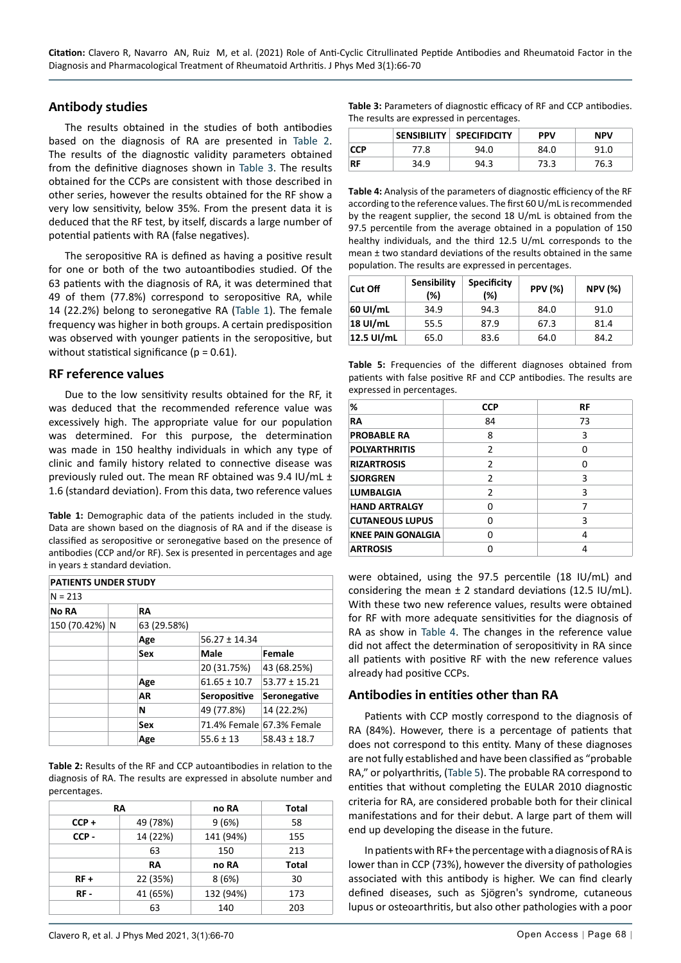#### **Antibody studies**

The results obtained in the studies of both antibodies based on the diagnosis of RA are presented in [Table 2](#page-2-3). The results of the diagnostic validity parameters obtained from the definitive diagnoses shown in [Table 3.](#page-2-4) The results obtained for the CCPs are consistent with those described in other series, however the results obtained for the RF show a very low sensitivity, below 35%. From the present data it is deduced that the RF test, by itself, discards a large number of potential patients with RA (false negatives).

The seropositive RA is defined as having a positive result for one or both of the two autoantibodies studied. Of the 63 patients with the diagnosis of RA, it was determined that 49 of them (77.8%) correspond to seropositive RA, while 14 (22.2%) belong to seronegative RA ([Table 1](#page-2-0)). The female frequency was higher in both groups. A certain predisposition was observed with younger patients in the seropositive, but without statistical significance ( $p = 0.61$ ).

#### **RF reference values**

Due to the low sensitivity results obtained for the RF, it was deduced that the recommended reference value was excessively high. The appropriate value for our population was determined. For this purpose, the determination was made in 150 healthy individuals in which any type of clinic and family history related to connective disease was previously ruled out. The mean RF obtained was 9.4 IU/mL ± 1.6 (standard deviation). From this data, two reference values

<span id="page-2-0"></span>**Table 1:** Demographic data of the patients included in the study. Data are shown based on the diagnosis of RA and if the disease is classified as seropositive or seronegative based on the presence of antibodies (CCP and/or RF). Sex is presented in percentages and age in years ± standard deviation.

| <b>PATIENTS UNDER STUDY</b> |  |             |                   |                           |
|-----------------------------|--|-------------|-------------------|---------------------------|
| $N = 213$                   |  |             |                   |                           |
| No RA                       |  | RA          |                   |                           |
| 150 (70.42%) N              |  | 63 (29.58%) |                   |                           |
|                             |  | Age         | $56.27 \pm 14.34$ |                           |
|                             |  | Sex         | Male              | Female                    |
|                             |  |             | 20 (31.75%)       | 43 (68.25%)               |
|                             |  | Age         | $61.65 \pm 10.7$  | $53.77 \pm 15.21$         |
|                             |  | AR          | Seropositive      | Seronegative              |
|                             |  | N           | 49 (77.8%)        | 14 (22.2%)                |
|                             |  | Sex         |                   | 71.4% Female 67.3% Female |
|                             |  | Age         | $55.6 \pm 13$     | $58.43 \pm 18.7$          |

<span id="page-2-3"></span>**Table 2:** Results of the RF and CCP autoantibodies in relation to the diagnosis of RA. The results are expressed in absolute number and percentages.

|         | RA       | no RA     | Total        |
|---------|----------|-----------|--------------|
| $CCP +$ | 49 (78%) | 9(6%)     | 58           |
| CCP-    | 14 (22%) | 141 (94%) | 155          |
|         | 63       | 150       | 213          |
|         | RA       | no RA     | <b>Total</b> |
| $RF +$  | 22 (35%) | 8(6%)     | 30           |
| RF -    | 41 (65%) | 132 (94%) | 173          |
|         | 63       | 140       | 203          |

<span id="page-2-4"></span>**Table 3:** Parameters of diagnostic efficacy of RF and CCP antibodies. The results are expressed in percentages.

|            |      | SENSIBILITY SPECIFIDCITY | <b>PPV</b> | <b>NPV</b> |
|------------|------|--------------------------|------------|------------|
| <b>CCP</b> | 77.8 | 94.0                     | 84.0       | 91.0       |
| RF         | 34.9 | 94.3                     | 73.3       | 76.3       |

<span id="page-2-1"></span>**Table 4:** Analysis of the parameters of diagnostic efficiency of the RF according to the reference values. The first 60 U/mL is recommended by the reagent supplier, the second 18 U/mL is obtained from the 97.5 percentile from the average obtained in a population of 150 healthy individuals, and the third 12.5 U/mL corresponds to the mean ± two standard deviations of the results obtained in the same population. The results are expressed in percentages.

| Cut Off    | <b>Sensibility</b><br>(%) | <b>Specificity</b><br>(%) | <b>PPV (%)</b> | <b>NPV (%)</b> |
|------------|---------------------------|---------------------------|----------------|----------------|
| 60 UI/mL   | 34.9                      | 94.3                      | 84.0           | 91.0           |
| 18 UI/mL   | 55.5                      | 87.9                      | 67.3           | 81.4           |
| 12.5 UI/mL | 65.0                      | 83.6                      | 64.0           | 84.2           |

<span id="page-2-2"></span>**Table 5:** Frequencies of the different diagnoses obtained from patients with false positive RF and CCP antibodies. The results are expressed in percentages.

| ℅                         | <b>CCP</b>     | RF |
|---------------------------|----------------|----|
| RA                        | 84             | 73 |
| <b>PROBABLE RA</b>        | 8              | 3  |
| <b>POLYARTHRITIS</b>      | $\mathcal{P}$  | n  |
| <b>RIZARTROSIS</b>        | $\mathfrak{p}$ | n  |
| <b>SJORGREN</b>           | $\mathfrak z$  | 3  |
| <b>LUMBALGIA</b>          | $\mathfrak z$  | 3  |
| <b>HAND ARTRALGY</b>      | O              | 7  |
| <b>CUTANEOUS LUPUS</b>    | ŋ              | 3  |
| <b>KNEE PAIN GONALGIA</b> | ŋ              | 4  |
| <b>ARTROSIS</b>           |                | Δ  |

were obtained, using the 97.5 percentile (18 IU/mL) and considering the mean  $\pm$  2 standard deviations (12.5 IU/mL). With these two new reference values, results were obtained for RF with more adequate sensitivities for the diagnosis of RA as show in [Table 4.](#page-2-1) The changes in the reference value did not affect the determination of seropositivity in RA since all patients with positive RF with the new reference values already had positive CCPs.

## **Antibodies in entities other than RA**

Patients with CCP mostly correspond to the diagnosis of RA (84%). However, there is a percentage of patients that does not correspond to this entity. Many of these diagnoses are not fully established and have been classified as "probable RA," or polyarthritis, ([Table 5\)](#page-2-2). The probable RA correspond to entities that without completing the EULAR 2010 diagnostic criteria for RA, are considered probable both for their clinical manifestations and for their debut. A large part of them will end up developing the disease in the future.

In patients with RF+ the percentage with a diagnosis of RA is lower than in CCP (73%), however the diversity of pathologies associated with this antibody is higher. We can find clearly defined diseases, such as Sjögren's syndrome, cutaneous lupus or osteoarthritis, but also other pathologies with a poor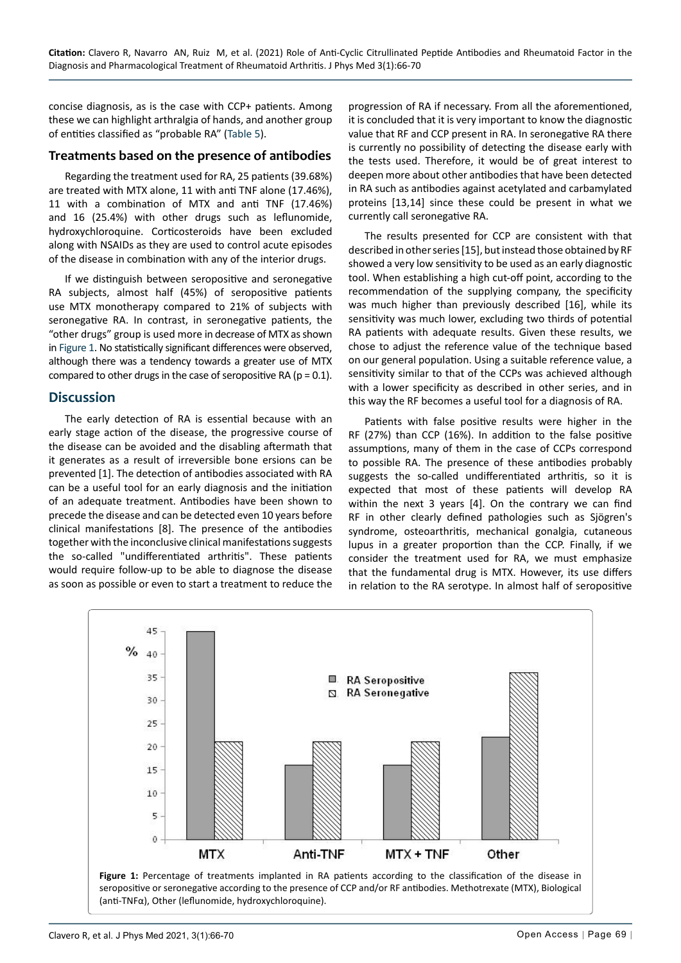concise diagnosis, as is the case with CCP+ patients. Among these we can highlight arthralgia of hands, and another group of entities classified as "probable RA" ([Table 5\)](#page-2-2).

#### **Treatments based on the presence of antibodies**

Regarding the treatment used for RA, 25 patients (39.68%) are treated with MTX alone, 11 with anti TNF alone (17.46%), 11 with a combination of MTX and anti TNF (17.46%) and 16 (25.4%) with other drugs such as leflunomide, hydroxychloroquine. Corticosteroids have been excluded along with NSAIDs as they are used to control acute episodes of the disease in combination with any of the interior drugs.

If we distinguish between seropositive and seronegative RA subjects, almost half (45%) of seropositive patients use MTX monotherapy compared to 21% of subjects with seronegative RA. In contrast, in seronegative patients, the "other drugs" group is used more in decrease of MTX as shown in [Figure 1](#page-3-0). No statistically significant differences were observed, although there was a tendency towards a greater use of MTX compared to other drugs in the case of seropositive RA ( $p = 0.1$ ).

## **Discussion**

The early detection of RA is essential because with an early stage action of the disease, the progressive course of the disease can be avoided and the disabling aftermath that it generates as a result of irreversible bone ersions can be prevented [1]. The detection of antibodies associated with RA can be a useful tool for an early diagnosis and the initiation of an adequate treatment. Antibodies have been shown to precede the disease and can be detected even 10 years before clinical manifestations [8]. The presence of the antibodies together with the inconclusive clinical manifestations suggests the so-called "undifferentiated arthritis". These patients would require follow-up to be able to diagnose the disease as soon as possible or even to start a treatment to reduce the

progression of RA if necessary. From all the aforementioned, it is concluded that it is very important to know the diagnostic value that RF and CCP present in RA. In seronegative RA there is currently no possibility of detecting the disease early with the tests used. Therefore, it would be of great interest to deepen more about other antibodies that have been detected in RA such as antibodies against acetylated and carbamylated proteins [13,14] since these could be present in what we currently call seronegative RA.

The results presented for CCP are consistent with that described in other series [15], but instead those obtained by RF showed a very low sensitivity to be used as an early diagnostic tool. When establishing a high cut-off point, according to the recommendation of the supplying company, the specificity was much higher than previously described [16], while its sensitivity was much lower, excluding two thirds of potential RA patients with adequate results. Given these results, we chose to adjust the reference value of the technique based on our general population. Using a suitable reference value, a sensitivity similar to that of the CCPs was achieved although with a lower specificity as described in other series, and in this way the RF becomes a useful tool for a diagnosis of RA.

Patients with false positive results were higher in the RF (27%) than CCP (16%). In addition to the false positive assumptions, many of them in the case of CCPs correspond to possible RA. The presence of these antibodies probably suggests the so-called undifferentiated arthritis, so it is expected that most of these patients will develop RA within the next 3 years [4]. On the contrary we can find RF in other clearly defined pathologies such as Sjögren's syndrome, osteoarthritis, mechanical gonalgia, cutaneous lupus in a greater proportion than the CCP. Finally, if we consider the treatment used for RA, we must emphasize that the fundamental drug is MTX. However, its use differs in relation to the RA serotype. In almost half of seropositive

<span id="page-3-0"></span>